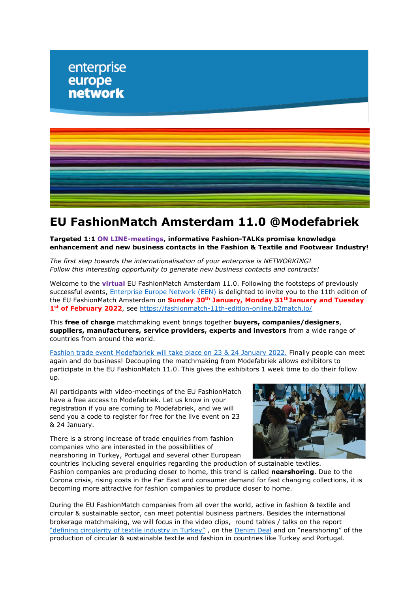

# **EU FashionMatch Amsterdam 11.0 @Modefabriek**

**Targeted 1:1 ON LINE-meetings, informative Fashion-TALKs promise knowledge enhancement and new business contacts in the Fashion & Textile and Footwear Industry!** 

*The first step towards the internationalisation of your enterprise is NETWORKING! Follow this interesting opportunity to generate new business contacts and contracts!*

Welcome to the **virtual** EU FashionMatch Amsterdam 11.0. Following the footsteps of previously successful events, [Enterprise Europe Network \(EEN\)](https://een.ec.europa.eu/) is delighted to invite you to the 11th edition of the EU FashionMatch Amsterdam on **Sunday 30th January, Monday 31thJanuary and Tuesday 1st of February 2022**, see<https://fashionmatch-11th-edition-online.b2match.io/>

This **free of charge** matchmaking event brings together **buyers, companies/designers**, **suppliers, manufacturers, service providers, experts and investors** from a wide range of countries from around the world.

[Fashion trade event Modefabriek will take place on 23 & 24 January 2022.](https://www.modefabriek.nl/en/event) Finally people can meet again and do business! Decoupling the matchmaking from Modefabriek allows exhibitors to participate in the EU FashionMatch 11.0. This gives the exhibitors 1 week time to do their follow up.

All participants with video-meetings of the EU FashionMatch have a free access to Modefabriek. Let us know in your registration if you are coming to Modefabriek, and we will send you a code to register for free for the live event on 23 & 24 January.

There is a strong increase of trade enquiries from fashion companies who are interested in the possibilities of nearshoring in Turkey, Portugal and several other European



countries including several enquiries regarding the production of sustainable textiles. Fashion companies are producing closer to home, this trend is called **nearshoring**. Due to the Corona crisis, rising costs in the Far East and consumer demand for fast changing collections, it is becoming more attractive for fashion companies to produce closer to home.

During the EU FashionMatch companies from all over the world, active in fashion & textile and circular & sustainable sector, can meet potential business partners. Besides the international brokerage matchmaking, we will focus in the video clips, round tables / talks on the report ["defining circularity of textile industry in Turkey"](https://www.rvo.nl/sites/default/files/2021/04/Circulair%20Textiles%20Turkey%202021.pdf) , on the [Denim Deal](https://www.circulairondernemen.nl/best-practices/denim-deal) and on "nearshoring" of the production of circular & sustainable textile and fashion in countries like Turkey and Portugal.